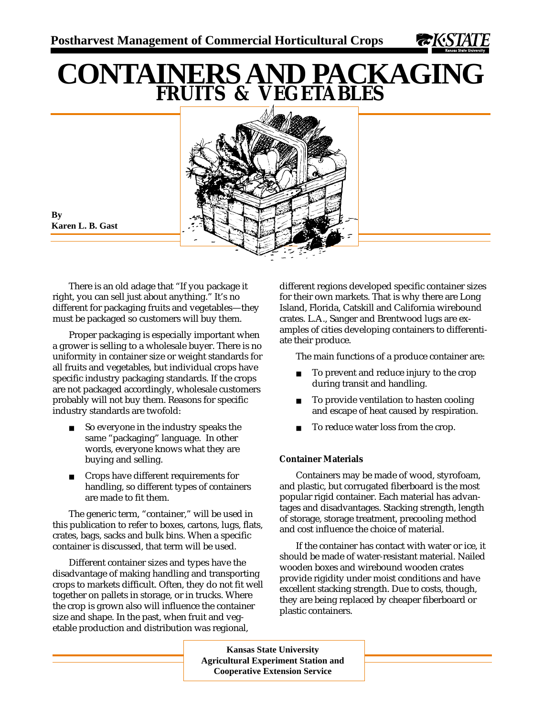

# **CONTAINERS AND PACKAGING FRUITS & VEGETABLES**



**By Karen L. B. Gast**

There is an old adage that "If you package it right, you can sell just about anything." It's no different for packaging fruits and vegetables—they must be packaged so customers will buy them.

Proper packaging is especially important when a grower is selling to a wholesale buyer. There is no uniformity in container size or weight standards for all fruits and vegetables, but individual crops have specific industry packaging standards. If the crops are not packaged accordingly, wholesale customers probably will not buy them. Reasons for specific industry standards are twofold:

- So everyone in the industry speaks the same "packaging" language. In other words, everyone knows what they are buying and selling.
- Crops have different requirements for handling, so different types of containers are made to fit them.

The generic term, "container," will be used in this publication to refer to boxes, cartons, lugs, flats, crates, bags, sacks and bulk bins. When a specific container is discussed, that term will be used.

Different container sizes and types have the disadvantage of making handling and transporting crops to markets difficult. Often, they do not fit well together on pallets in storage, or in trucks. Where the crop is grown also will influence the container size and shape. In the past, when fruit and vegetable production and distribution was regional,

different regions developed specific container sizes for their own markets. That is why there are Long Island, Florida, Catskill and California wirebound crates. L.A., Sanger and Brentwood lugs are examples of cities developing containers to differentiate their produce.

The main functions of a produce container are:

- To prevent and reduce injury to the crop during transit and handling.
- To provide ventilation to hasten cooling and escape of heat caused by respiration.
- To reduce water loss from the crop.

# **Container Materials**

Containers may be made of wood, styrofoam, and plastic, but corrugated fiberboard is the most popular rigid container. Each material has advantages and disadvantages. Stacking strength, length of storage, storage treatment, precooling method and cost influence the choice of material.

If the container has contact with water or ice, it should be made of water-resistant material. Nailed wooden boxes and wirebound wooden crates provide rigidity under moist conditions and have excellent stacking strength. Due to costs, though, they are being replaced by cheaper fiberboard or plastic containers.

**Kansas State University Agricultural Experiment Station and Cooperative Extension Service**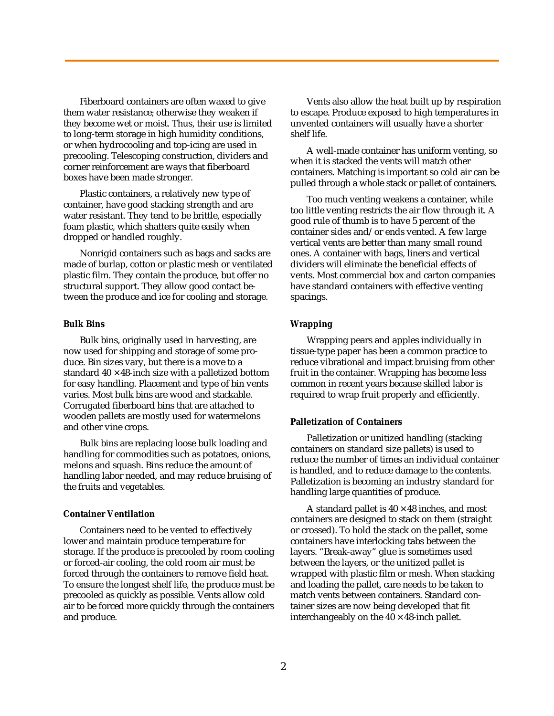Fiberboard containers are often waxed to give them water resistance; otherwise they weaken if they become wet or moist. Thus, their use is limited to long-term storage in high humidity conditions, or when hydrocooling and top-icing are used in precooling. Telescoping construction, dividers and corner reinforcement are ways that fiberboard boxes have been made stronger.

Plastic containers, a relatively new type of container, have good stacking strength and are water resistant. They tend to be brittle, especially foam plastic, which shatters quite easily when dropped or handled roughly.

Nonrigid containers such as bags and sacks are made of burlap, cotton or plastic mesh or ventilated plastic film. They contain the produce, but offer no structural support. They allow good contact between the produce and ice for cooling and storage.

#### **Bulk Bins**

Bulk bins, originally used in harvesting, are now used for shipping and storage of some produce. Bin sizes vary, but there is a move to a standard  $40 \times 48$ -inch size with a palletized bottom for easy handling. Placement and type of bin vents varies. Most bulk bins are wood and stackable. Corrugated fiberboard bins that are attached to wooden pallets are mostly used for watermelons and other vine crops.

Bulk bins are replacing loose bulk loading and handling for commodities such as potatoes, onions, melons and squash. Bins reduce the amount of handling labor needed, and may reduce bruising of the fruits and vegetables.

## **Container Ventilation**

Containers need to be vented to effectively lower and maintain produce temperature for storage. If the produce is precooled by room cooling or forced-air cooling, the cold room air must be forced through the containers to remove field heat. To ensure the longest shelf life, the produce must be precooled as quickly as possible. Vents allow cold air to be forced more quickly through the containers and produce.

Vents also allow the heat built up by respiration to escape. Produce exposed to high temperatures in unvented containers will usually have a shorter shelf life.

A well-made container has uniform venting, so when it is stacked the vents will match other containers. Matching is important so cold air can be pulled through a whole stack or pallet of containers.

Too much venting weakens a container, while too little venting restricts the air flow through it. A good rule of thumb is to have 5 percent of the container sides and/or ends vented. A few large vertical vents are better than many small round ones. A container with bags, liners and vertical dividers will eliminate the beneficial effects of vents. Most commercial box and carton companies have standard containers with effective venting spacings.

#### **Wrapping**

Wrapping pears and apples individually in tissue-type paper has been a common practice to reduce vibrational and impact bruising from other fruit in the container. Wrapping has become less common in recent years because skilled labor is required to wrap fruit properly and efficiently.

## **Palletization of Containers**

Palletization or unitized handling (stacking containers on standard size pallets) is used to reduce the number of times an individual container is handled, and to reduce damage to the contents. Palletization is becoming an industry standard for handling large quantities of produce.

A standard pallet is  $40 \times 48$  inches, and most containers are designed to stack on them (straight or crossed). To hold the stack on the pallet, some containers have interlocking tabs between the layers. "Break-away" glue is sometimes used between the layers, or the unitized pallet is wrapped with plastic film or mesh. When stacking and loading the pallet, care needs to be taken to match vents between containers. Standard container sizes are now being developed that fit interchangeably on the  $40 \times 48$ -inch pallet.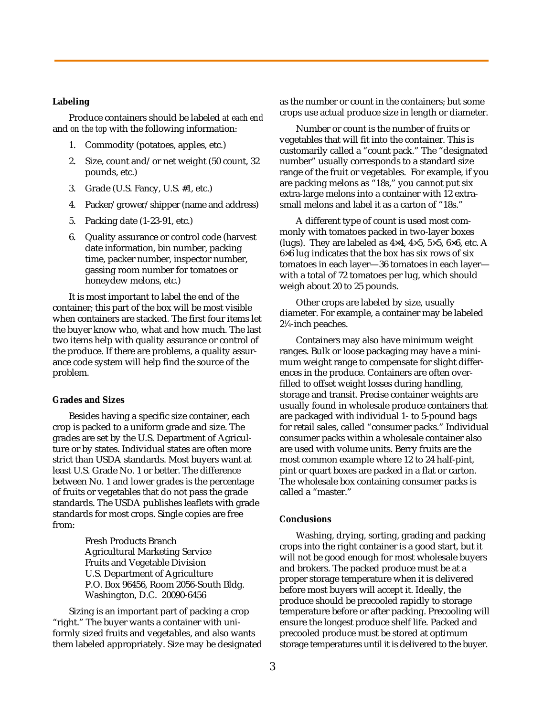### **Labeling**

Produce containers should be labeled *at each end* and *on the top* with the following information:

- 1. Commodity (potatoes, apples, etc.)
- 2. Size, count and/or net weight (50 count, 32 pounds, etc.)
- 3. Grade (U.S. Fancy, U.S. #1, etc.)
- 4. Packer/grower/shipper (name and address)
- 5. Packing date (1-23-91, etc.)
- 6. Quality assurance or control code (harvest date information, bin number, packing time, packer number, inspector number, gassing room number for tomatoes or honeydew melons, etc.)

It is most important to label the end of the container; this part of the box will be most visible when containers are stacked. The first four items let the buyer know who, what and how much. The last two items help with quality assurance or control of the produce. If there are problems, a quality assurance code system will help find the source of the problem.

#### **Grades and Sizes**

Besides having a specific size container, each crop is packed to a uniform grade and size. The grades are set by the U.S. Department of Agriculture or by states. Individual states are often more strict than USDA standards. Most buyers want at least U.S. Grade No. 1 or better. The difference between No. 1 and lower grades is the percentage of fruits or vegetables that do not pass the grade standards. The USDA publishes leaflets with grade standards for most crops. Single copies are free from:

> Fresh Products Branch Agricultural Marketing Service Fruits and Vegetable Division U.S. Department of Agriculture P.O. Box 96456, Room 2056-South Bldg. Washington, D.C. 20090-6456

Sizing is an important part of packing a crop "right." The buyer wants a container with uniformly sized fruits and vegetables, and also wants them labeled appropriately. Size may be designated as the number or count in the containers; but some crops use actual produce size in length or diameter.

Number or count is the number of fruits or vegetables that will fit into the container. This is customarily called a "count pack." The "designated number" usually corresponds to a standard size range of the fruit or vegetables. For example, if you are packing melons as "18s," you cannot put six extra-large melons into a container with 12 extrasmall melons and label it as a carton of "18s."

A different type of count is used most commonly with tomatoes packed in two-layer boxes (lugs). They are labeled as  $4\times4$ ,  $4\times5$ ,  $5\times5$ ,  $6\times6$ , etc. A 6×6 lug indicates that the box has six rows of six tomatoes in each layer—36 tomatoes in each layer with a total of 72 tomatoes per lug, which should weigh about 20 to 25 pounds.

Other crops are labeled by size, usually diameter. For example, a container may be labeled 21 ⁄4-inch peaches.

Containers may also have minimum weight ranges. Bulk or loose packaging may have a minimum weight range to compensate for slight differences in the produce. Containers are often overfilled to offset weight losses during handling, storage and transit. Precise container weights are usually found in wholesale produce containers that are packaged with individual 1- to 5-pound bags for retail sales, called "consumer packs." Individual consumer packs within a wholesale container also are used with volume units. Berry fruits are the most common example where 12 to 24 half-pint, pint or quart boxes are packed in a flat or carton. The wholesale box containing consumer packs is called a "master."

#### **Conclusions**

Washing, drying, sorting, grading and packing crops into the right container is a good start, but it will not be good enough for most wholesale buyers and brokers. The packed produce must be at a proper storage temperature when it is delivered before most buyers will accept it. Ideally, the produce should be precooled rapidly to storage temperature before or after packing. Precooling will ensure the longest produce shelf life. Packed and precooled produce must be stored at optimum storage temperatures until it is delivered to the buyer.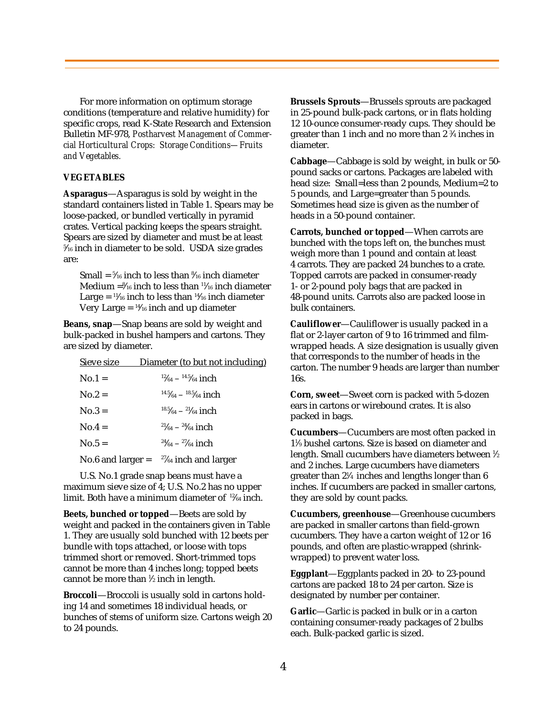For more information on optimum storage conditions (temperature and relative humidity) for specific crops, read K-State Research and Extension Bulletin MF-978, *Postharvest Management of Commercial Horticultural Crops: Storage Conditions—Fruits and Vegetables.*

## **VEGETABLES**

**Asparagus**—Asparagus is sold by weight in the standard containers listed in Table 1. Spears may be loose-packed, or bundled vertically in pyramid crates. Vertical packing keeps the spears straight. Spears are sized by diameter and must be at least 5 ⁄16 inch in diameter to be sold. USDA size grades are:

Small = 5 ⁄16 inch to less than 8 ⁄16 inch diameter Medium =8 ⁄16 inch to less than 11⁄16 inch diameter Large =  $\frac{11}{16}$  inch to less than  $\frac{14}{16}$  inch diameter Very Large =  $\frac{14}{16}$  inch and up diameter

**Beans, snap**—Snap beans are sold by weight and bulk-packed in bushel hampers and cartons. They are sized by diameter.

| Sieve size          | Diameter (to but not including)      |
|---------------------|--------------------------------------|
| $No.1 =$            | $12/64 - 14.5/64$ inch               |
| $No.2 =$            | $14.5/64 - 18.5/64$ inch             |
| $No.3 =$            | $18.5/64 - 21/64$ inch               |
| $No.4 =$            | $^{21}/_{64}$ – $^{24}/_{64}$ inch   |
| $No.5 =$            | $\frac{24}{64} - \frac{27}{64}$ inch |
| No.6 and larger $=$ | $27/64$ inch and larger              |

U.S. No.1 grade snap beans must have a maximum sieve size of 4; U.S. No.2 has no upper limit. Both have a minimum diameter of 12⁄64 inch.

**Beets, bunched or topped**—Beets are sold by weight and packed in the containers given in Table 1. They are usually sold bunched with 12 beets per bundle with tops attached, or loose with tops trimmed short or removed. Short-trimmed tops cannot be more than 4 inches long; topped beets cannot be more than 1 ⁄2 inch in length.

**Broccoli**—Broccoli is usually sold in cartons holding 14 and sometimes 18 individual heads, or bunches of stems of uniform size. Cartons weigh 20 to 24 pounds.

**Brussels Sprouts**—Brussels sprouts are packaged in 25-pound bulk-pack cartons, or in flats holding 12 10-ounce consumer-ready cups. They should be greater than 1 inch and no more than 2 3 ⁄4 inches in diameter.

**Cabbage**—Cabbage is sold by weight, in bulk or 50 pound sacks or cartons. Packages are labeled with head size: Small=less than 2 pounds, Medium=2 to 5 pounds, and Large=greater than 5 pounds. Sometimes head size is given as the number of heads in a 50-pound container.

**Carrots, bunched or topped**—When carrots are bunched with the tops left on, the bunches must weigh more than 1 pound and contain at least 4 carrots. They are packed 24 bunches to a crate. Topped carrots are packed in consumer-ready 1- or 2-pound poly bags that are packed in 48-pound units. Carrots also are packed loose in bulk containers.

**Cauliflower**—Cauliflower is usually packed in a flat or 2-layer carton of 9 to 16 trimmed and filmwrapped heads. A size designation is usually given that corresponds to the number of heads in the carton. The number 9 heads are larger than number 16s.

**Corn, sweet**—Sweet corn is packed with 5-dozen ears in cartons or wirebound crates. It is also packed in bags.

**Cucumbers**—Cucumbers are most often packed in 11 ⁄9 bushel cartons. Size is based on diameter and length. Small cucumbers have diameters between 1 ⁄2 and 2 inches. Large cucumbers have diameters greater than 21 ⁄4 inches and lengths longer than 6 inches. If cucumbers are packed in smaller cartons, they are sold by count packs.

**Cucumbers, greenhouse**—Greenhouse cucumbers are packed in smaller cartons than field-grown cucumbers. They have a carton weight of 12 or 16 pounds, and often are plastic-wrapped (shrinkwrapped) to prevent water loss.

**Eggplant**—Eggplants packed in 20- to 23-pound cartons are packed 18 to 24 per carton. Size is designated by number per container.

**Garlic**—Garlic is packed in bulk or in a carton containing consumer-ready packages of 2 bulbs each. Bulk-packed garlic is sized.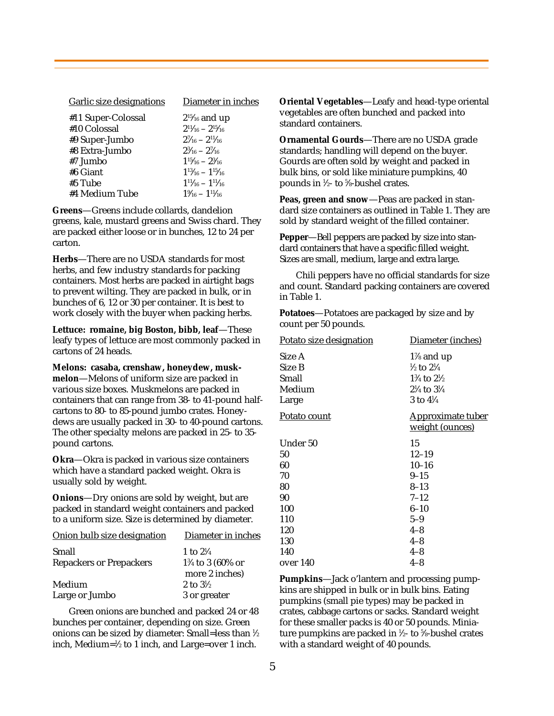| Garlic size designations | Diameter in inches               |
|--------------------------|----------------------------------|
| #11 Super-Colossal       | $2^{15}/_{16}$ and up            |
| #10 Colossal             | $2^{11}/_{16} - 2^{15}/_{16}$    |
| #9 Super-Jumbo           | $2\frac{7}{16} - 2\frac{11}{16}$ |
| #8 Extra-Jumbo           | $2\frac{3}{16} - 2\frac{7}{16}$  |
| #7 Jumbo                 | $1^{15}/_{16} - 2^{3}/_{16}$     |
| #6 Giant                 | $1^{13}/_{16} - 1^{15}/_{16}$    |
| #5 Tube                  | $1^{11}/_{16} - 1^{11}/_{16}$    |
| #4 Medium Tube           | $1\% - 1\frac{11}{16}$           |
|                          |                                  |

**Greens**—Greens include collards, dandelion greens, kale, mustard greens and Swiss chard. They are packed either loose or in bunches, 12 to 24 per carton.

**Herbs**—There are no USDA standards for most herbs, and few industry standards for packing containers. Most herbs are packed in airtight bags to prevent wilting. They are packed in bulk, or in bunches of 6, 12 or 30 per container. It is best to work closely with the buyer when packing herbs.

**Lettuce: romaine, big Boston, bibb, leaf**—These leafy types of lettuce are most commonly packed in cartons of 24 heads.

**Melons: casaba, crenshaw, honeydew, muskmelon**—Melons of uniform size are packed in various size boxes. Muskmelons are packed in containers that can range from 38- to 41-pound halfcartons to 80- to 85-pound jumbo crates. Honeydews are usually packed in 30- to 40-pound cartons. The other specialty melons are packed in 25- to 35 pound cartons.

**Okra**—Okra is packed in various size containers which have a standard packed weight. Okra is usually sold by weight.

**Onions**—Dry onions are sold by weight, but are packed in standard weight containers and packed to a uniform size. Size is determined by diameter.

| Onion bulb size designation    | Diameter in inches          |
|--------------------------------|-----------------------------|
| Small                          | 1 to $2\frac{1}{4}$         |
| <b>Repackers or Prepackers</b> | $1\frac{3}{4}$ to 3 (60% or |
|                                | more 2 inches)              |
| Medium                         | 2 to $3\frac{1}{2}$         |
| Large or Jumbo                 | 3 or greater                |

Green onions are bunched and packed 24 or 48 bunches per container, depending on size. Green onions can be sized by diameter: Small=less than 1 ⁄2 inch, Medium=1 ⁄2 to 1 inch, and Large=over 1 inch.

**Oriental Vegetables**—Leafy and head-type oriental vegetables are often bunched and packed into standard containers.

**Ornamental Gourds**—There are no USDA grade standards; handling will depend on the buyer. Gourds are often sold by weight and packed in bulk bins, or sold like miniature pumpkins, 40 pounds in 1 ⁄2- to 5 ⁄8-bushel crates.

**Peas, green and snow**—Peas are packed in standard size containers as outlined in Table 1. They are sold by standard weight of the filled container.

**Pepper**—Bell peppers are packed by size into standard containers that have a specific filled weight. Sizes are small, medium, large and extra large.

Chili peppers have no official standards for size and count. Standard packing containers are covered in Table 1.

**Potatoes**—Potatoes are packaged by size and by count per 50 pounds.

| Potato size designation | Diameter (inches)                |
|-------------------------|----------------------------------|
| Size A                  | $1\%$ and up                     |
| Size B                  | $\frac{1}{2}$ to $\frac{21}{4}$  |
| Small                   | $1\frac{3}{4}$ to $2\frac{1}{2}$ |
| Medium                  | $2\frac{1}{4}$ to $3\frac{1}{4}$ |
| Large                   | 3 to $4\frac{1}{4}$              |
| Potato count            | <b>Approximate tuber</b>         |
|                         | weight (ounces)                  |
| Under 50                | 15                               |
| 50                      | $12 - 19$                        |
| 60                      | $10 - 16$                        |
| 70                      | $9 - 15$                         |
| 80                      | $8 - 13$                         |
| 90                      | $7 - 12$                         |
| 100                     | $6 - 10$                         |
| 110                     | $5 - 9$                          |
| 120                     | $4 - 8$                          |
| 130                     | $4 - 8$                          |
| 140                     | $4 - 8$                          |
| over 140                | $4 - 8$                          |

**Pumpkins**—Jack o'lantern and processing pumpkins are shipped in bulk or in bulk bins. Eating pumpkins (small pie types) may be packed in crates, cabbage cartons or sacks. Standard weight for these smaller packs is 40 or 50 pounds. Miniature pumpkins are packed in 1 ⁄2- to 5 ⁄8-bushel crates with a standard weight of 40 pounds.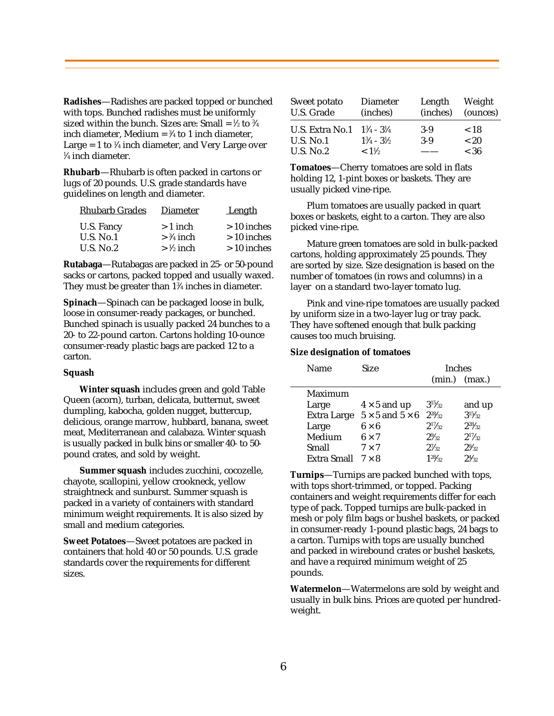**Radishes**—Radishes are packed topped or bunched with tops. Bunched radishes must be uniformly sized within the bunch. Sizes are: Small = ½ to ¾ inch diameter, Medium =  $\frac{3}{4}$  to 1 inch diameter, Large = 1 to 1 ⁄4 inch diameter, and Very Large over 1 ⁄4 inch diameter.

**Rhubarb**—Rhubarb is often packed in cartons or lugs of 20 pounds. U.S. grade standards have guidelines on length and diameter.

| <b>Rhubarb Grades</b> | <b>Diameter</b>      | Length       |
|-----------------------|----------------------|--------------|
| U.S. Fancy            | $>1$ inch            | $>10$ inches |
| $U.S.$ No.1           | $>$ 3/4 inch         | $>10$ inches |
| U.S. $No.2$           | $> \frac{1}{2}$ inch | $>10$ inches |

**Rutabaga**—Rutabagas are packed in 25- or 50-pound sacks or cartons, packed topped and usually waxed. They must be greater than 13 ⁄4 inches in diameter.

**Spinach**—Spinach can be packaged loose in bulk, loose in consumer-ready packages, or bunched. Bunched spinach is usually packed 24 bunches to a 20- to 22-pound carton. Cartons holding 10-ounce consumer-ready plastic bags are packed 12 to a carton.

## **Squash**

**Winter squash** includes green and gold Table Queen (acorn), turban, delicata, butternut, sweet dumpling, kabocha, golden nugget, buttercup, delicious, orange marrow, hubbard, banana, sweet meat, Mediterranean and calabaza. Winter squash is usually packed in bulk bins or smaller 40- to 50 pound crates, and sold by weight.

**Summer squash** includes zucchini, cocozelle, chayote, scallopini, yellow crookneck, yellow straightneck and sunburst. Summer squash is packed in a variety of containers with standard minimum weight requirements. It is also sized by small and medium categories.

**Sweet Potatoes**—Sweet potatoes are packed in containers that hold 40 or 50 pounds. U.S. grade standards cover the requirements for different sizes.

| Sweet potato<br>U.S. Grade | <b>Diameter</b><br>(inches)     | Length<br>(inches) | Weight<br>(ounces) |
|----------------------------|---------------------------------|--------------------|--------------------|
| U.S. Extra No.1            | $1\frac{3}{4}$ - $3\frac{1}{4}$ | $3-9$              | < 18               |
| <b>U.S. No.1</b>           | $1\frac{3}{4} - 3\frac{1}{2}$   | $3-9$              | ~< 20              |
| <b>U.S. No.2</b>           | $< 1\frac{1}{2}$                |                    | $<$ 36             |

**Tomatoes**—Cherry tomatoes are sold in flats holding 12, 1-pint boxes or baskets. They are usually picked vine-ripe.

Plum tomatoes are usually packed in quart boxes or baskets, eight to a carton. They are also picked vine-ripe.

Mature green tomatoes are sold in bulk-packed cartons, holding approximately 25 pounds. They are sorted by size. Size designation is based on the number of tomatoes (in rows and columns) in a layer on a standard two-layer tomato lug.

Pink and vine-ripe tomatoes are usually packed by uniform size in a two-layer lug or tray pack. They have softened enough that bulk packing causes too much bruising.

## **Size designation of tomatoes**

| Name               | Size                          | <b>Inches</b>   |                   |
|--------------------|-------------------------------|-----------------|-------------------|
|                    |                               |                 | $(min.)$ $(max.)$ |
| Maximum            |                               |                 |                   |
| Large              | $4 \times 5$ and up           | $3^{15}/_{32}$  | and up            |
| <b>Extra Large</b> | $5 \times 5$ and $5 \times 6$ | $2^{28}/_{32}$  | $3^{15}/22$       |
| Large              | $6 \times 6$                  | $2^{17}/_{32}$  | $2^{28}/_{32}$    |
| Medium             | $6 \times 7$                  | $2\frac{9}{32}$ | $2^{17}/32$       |
| Small              | $7 \times 7$                  | $2^{7}/_{32}$   | $2\frac{9}{3}$    |
| <b>Extra Small</b> | $7 \times 8$                  | $1^{28}/_{32}$  | $2^{4/3}$         |

**Turnips**—Turnips are packed bunched with tops, with tops short-trimmed, or topped. Packing containers and weight requirements differ for each type of pack. Topped turnips are bulk-packed in mesh or poly film bags or bushel baskets, or packed in consumer-ready 1-pound plastic bags, 24 bags to a carton. Turnips with tops are usually bunched and packed in wirebound crates or bushel baskets, and have a required minimum weight of 25 pounds.

**Watermelon**—Watermelons are sold by weight and usually in bulk bins. Prices are quoted per hundredweight.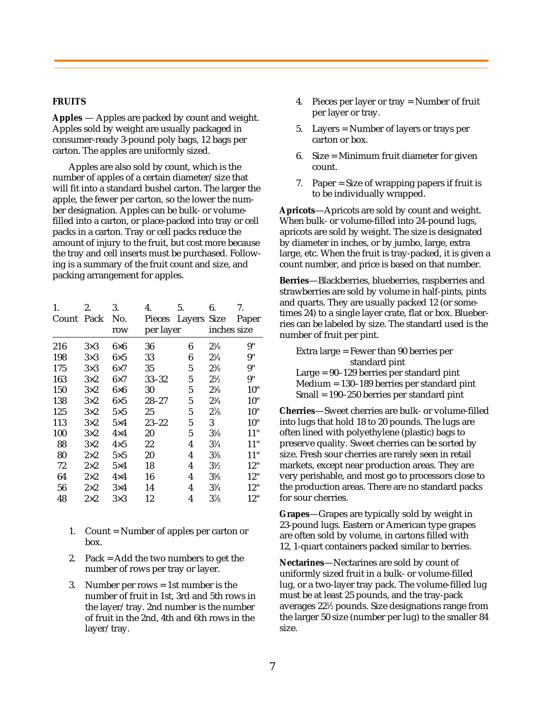## **FRUITS**

**Apples** — Apples are packed by count and weight. Apples sold by weight are usually packaged in consumer-ready 3-pound poly bags, 12 bags per carton. The apples are uniformly sized.

Apples are also sold by count, which is the number of apples of a certain diameter/size that will fit into a standard bushel carton. The larger the apple, the fewer per carton, so the lower the number designation. Apples can be bulk- or volumefilled into a carton, or place-packed into tray or cell packs in a carton. Tray or cell packs reduce the amount of injury to the fruit, but cost more because the tray and cell inserts must be purchased. Following is a summary of the fruit count and size, and packing arrangement for apples.

| 1.    | 2.          | 3.                 | 4.        | 5.          | 6.             | 7.          |
|-------|-------------|--------------------|-----------|-------------|----------------|-------------|
| Count | Pack        | No.                | Pieces    | Layers Size |                | Paper       |
|       |             | row                | per layer |             |                | inches size |
| 216   | $3\times3$  | $6\!\!\times\!\!6$ | 36        | 6           | $2\frac{1}{8}$ | 9"          |
| 198   | $3\times3$  | $6\times5$         | 33        | 6           | $2\frac{1}{4}$ | 9"          |
| 175   | $3\times3$  | $6\times7$         | 35        | 5           | $2\frac{3}{8}$ | 9"          |
| 163   | $3\times2$  | $6\times7$         | $33 - 32$ | 5           | $2\frac{1}{2}$ | 9"          |
| 150   | $3\times2$  | $6\times 6$        | 30        | 5           | $2\frac{5}{8}$ | 10"         |
| 138   | $3\times2$  | $6\times5$         | $28 - 27$ | 5           | $2\frac{3}{4}$ | 10"         |
| 125   | $3\times2$  | $5\times5$         | 25        | 5           | $2\frac{7}{8}$ | 10"         |
| 113   | $3\times2$  | $5\times4$         | $23 - 22$ | 5           | 3              | 10"         |
| 100   | $3\times2$  | $4\times4$         | 20        | 5           | $3\frac{1}{8}$ | 11"         |
| 88    | $3\times2$  | $4\times5$         | 22        | 4           | $3\frac{1}{4}$ | 11"         |
| 80    | $2\times 2$ | $5\times5$         | 20        | 4           | $3\frac{3}{8}$ | 11"         |
| 72    | $2\times 2$ | $5\times4$         | 18        | 4           | $3\frac{1}{2}$ | 12"         |
| 64    | $2\times 2$ | $4\times4$         | 16        | 4           | $3\frac{5}{8}$ | 12"         |
| 56    | $2\times2$  | $3\times4$         | 14        | 4           | $3\frac{3}{4}$ | 12"         |
| 48    | $2\times 2$ | $3\times3$         | 12        | 4           | $3\frac{7}{8}$ | 12"         |

- 1. Count = Number of apples per carton or box.
- 2. Pack = Add the two numbers to get the number of rows per tray or layer.
- 3. Number per rows = 1st number is the number of fruit in 1st, 3rd and 5th rows in the layer/tray. 2nd number is the number of fruit in the 2nd, 4th and 6th rows in the layer/tray.
- 4. Pieces per layer or tray = Number of fruit per layer or tray.
- 5. Layers = Number of layers or trays per carton or box.
- 6. Size = Minimum fruit diameter for given count.
- 7. Paper = Size of wrapping papers if fruit is to be individually wrapped.

**Apricots**—Apricots are sold by count and weight. When bulk- or volume-filled into 24-pound lugs, apricots are sold by weight. The size is designated by diameter in inches, or by jumbo, large, extra large, etc. When the fruit is tray-packed, it is given a count number, and price is based on that number.

**Berries**—Blackberries, blueberries, raspberries and strawberries are sold by volume in half-pints, pints and quarts. They are usually packed 12 (or sometimes 24) to a single layer crate, flat or box. Blueberries can be labeled by size. The standard used is the number of fruit per pint.

**Cherries**—Sweet cherries are bulk- or volume-filled into lugs that hold 18 to 20 pounds. The lugs are often lined with polyethylene (plastic) bags to preserve quality. Sweet cherries can be sorted by size. Fresh sour cherries are rarely seen in retail markets, except near production areas. They are very perishable, and most go to processors close to the production areas. There are no standard packs for sour cherries.

**Grapes**—Grapes are typically sold by weight in 23-pound lugs. Eastern or American type grapes are often sold by volume, in cartons filled with 12, 1-quart containers packed similar to berries.

**Nectarines**—Nectarines are sold by count of uniformly sized fruit in a bulk- or volume-filled lug, or a two-layer tray pack. The volume-filled lug must be at least 25 pounds, and the tray-pack averages 221 ⁄2 pounds. Size designations range from the larger 50 size (number per lug) to the smaller 84 size.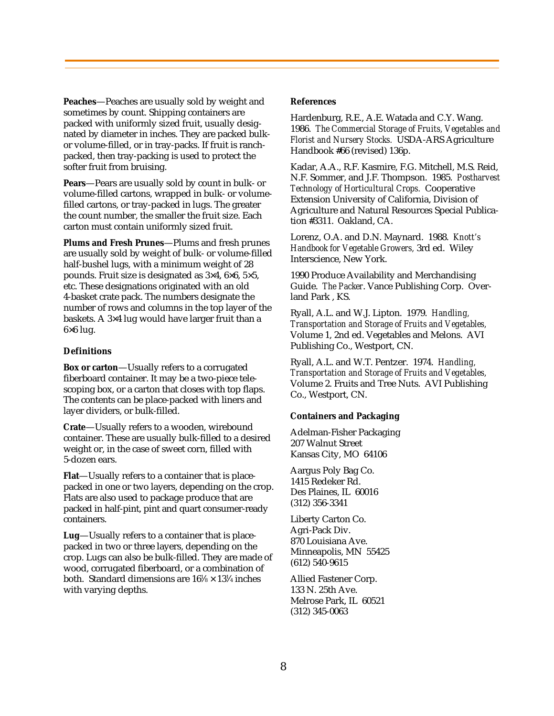**Peaches**—Peaches are usually sold by weight and sometimes by count. Shipping containers are packed with uniformly sized fruit, usually designated by diameter in inches. They are packed bulkor volume-filled, or in tray-packs. If fruit is ranchpacked, then tray-packing is used to protect the softer fruit from bruising.

**Pears**—Pears are usually sold by count in bulk- or volume-filled cartons, wrapped in bulk- or volumefilled cartons, or tray-packed in lugs. The greater the count number, the smaller the fruit size. Each carton must contain uniformly sized fruit.

**Plums and Fresh Prunes**—Plums and fresh prunes are usually sold by weight of bulk- or volume-filled half-bushel lugs, with a minimum weight of 28 pounds. Fruit size is designated as 3×4, 6×6, 5×5, etc. These designations originated with an old 4-basket crate pack. The numbers designate the number of rows and columns in the top layer of the baskets. A 3×4 lug would have larger fruit than a  $6\times6$  lug.

# **Definitions**

**Box or carton**—Usually refers to a corrugated fiberboard container. It may be a two-piece telescoping box, or a carton that closes with top flaps. The contents can be place-packed with liners and layer dividers, or bulk-filled.

**Crate**—Usually refers to a wooden, wirebound container. These are usually bulk-filled to a desired weight or, in the case of sweet corn, filled with 5-dozen ears.

**Flat**—Usually refers to a container that is placepacked in one or two layers, depending on the crop. Flats are also used to package produce that are packed in half-pint, pint and quart consumer-ready containers.

**Lug**—Usually refers to a container that is placepacked in two or three layers, depending on the crop. Lugs can also be bulk-filled. They are made of wood, corrugated fiberboard, or a combination of both. Standard dimensions are  $16\% \times 13\%$  inches with varying depths.

# **References**

Hardenburg, R.E., A.E. Watada and C.Y. Wang. 1986. *The Commercial Storage of Fruits, Vegetables and Florist and Nursery Stocks.* USDA-ARS Agriculture Handbook #66 (revised) 136p.

Kadar, A.A., R.F. Kasmire, F.G. Mitchell, M.S. Reid, N.F. Sommer, and J.F. Thompson. 1985. *Postharvest Technology of Horticultural Crops.* Cooperative Extension University of California, Division of Agriculture and Natural Resources Special Publication #3311. Oakland, CA.

Lorenz, O.A. and D.N. Maynard. 1988. *Knott's Handbook for Vegetable Growers,* 3rd ed. Wiley Interscience, New York.

1990 Produce Availability and Merchandising Guide. *The Packer*. Vance Publishing Corp. Overland Park , KS.

Ryall, A.L. and W.J. Lipton. 1979. *Handling, Transportation and Storage of Fruits and Vegetables,* Volume 1, 2nd ed. Vegetables and Melons. AVI Publishing Co., Westport, CN.

Ryall, A.L. and W.T. Pentzer. 1974. *Handling, Transportation and Storage of Fruits and Vegetables,* Volume 2. Fruits and Tree Nuts. AVI Publishing Co., Westport, CN.

# **Containers and Packaging**

Adelman-Fisher Packaging 207 Walnut Street Kansas City, MO 64106

Aargus Poly Bag Co. 1415 Redeker Rd. Des Plaines, IL 60016 (312) 356-3341

Liberty Carton Co. Agri-Pack Div. 870 Louisiana Ave. Minneapolis, MN 55425 (612) 540-9615

Allied Fastener Corp. 133 N. 25th Ave. Melrose Park, IL 60521 (312) 345-0063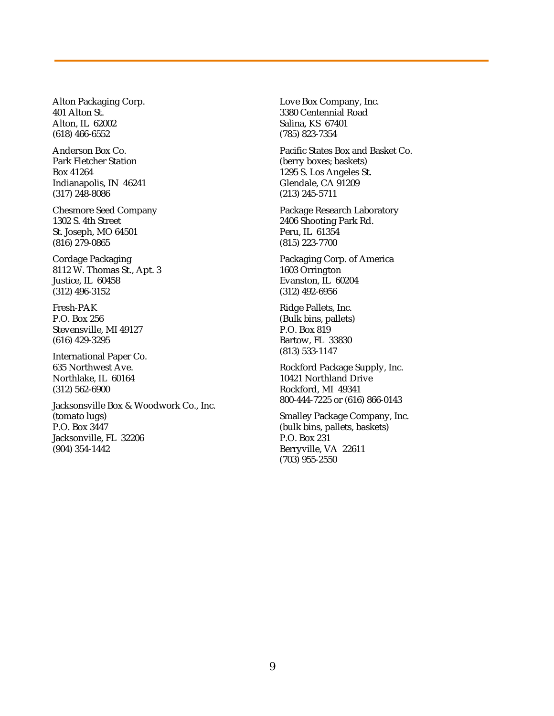Alton Packaging Corp. 401 Alton St. Alton, IL 62002 (618) 466-6552

Anderson Box Co. Park Fletcher Station Box 41264 Indianapolis, IN 46241 (317) 248-8086

Chesmore Seed Company 1302 S. 4th Street St. Joseph, MO 64501 (816) 279-0865

Cordage Packaging 8112 W. Thomas St., Apt. 3 Justice, IL 60458 (312) 496-3152

Fresh-PAK P.O. Box 256 Stevensville, MI 49127 (616) 429-3295

International Paper Co. 635 Northwest Ave. Northlake, IL 60164 (312) 562-6900

Jacksonsville Box & Woodwork Co., Inc. (tomato lugs) P.O. Box 3447 Jacksonville, FL 32206 (904) 354-1442

Love Box Company, Inc. 3380 Centennial Road Salina, KS 67401 (785) 823-7354

Pacific States Box and Basket Co. (berry boxes; baskets) 1295 S. Los Angeles St. Glendale, CA 91209 (213) 245-5711

Package Research Laboratory 2406 Shooting Park Rd. Peru, IL 61354 (815) 223-7700

Packaging Corp. of America 1603 Orrington Evanston, IL 60204 (312) 492-6956

Ridge Pallets, Inc. (Bulk bins, pallets) P.O. Box 819 Bartow, FL 33830 (813) 533-1147

Rockford Package Supply, Inc. 10421 Northland Drive Rockford, MI 49341 800-444-7225 or (616) 866-0143

Smalley Package Company, Inc. (bulk bins, pallets, baskets) P.O. Box 231 Berryville, VA 22611 (703) 955-2550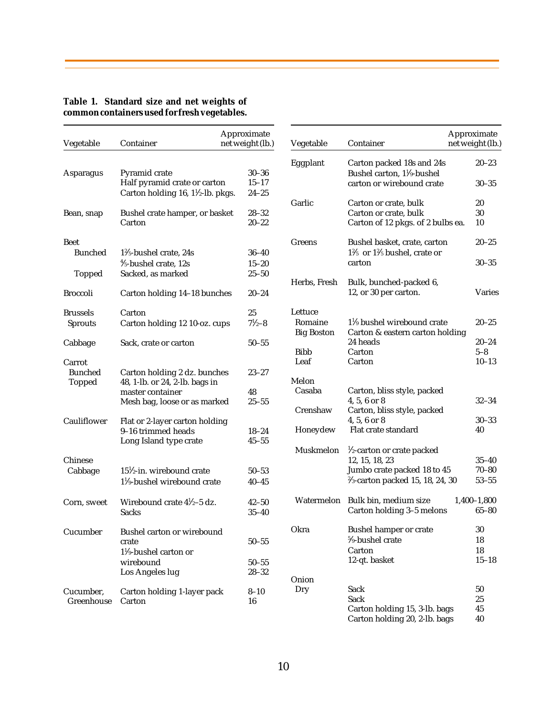| Vegetable                                 | Container                                                                                                          | Approximate<br>net weight (lb.)     |
|-------------------------------------------|--------------------------------------------------------------------------------------------------------------------|-------------------------------------|
| Asparagus                                 | Pyramid crate<br>Half pyramid crate or carton<br>Carton holding 16, 1 <sup>1</sup> / <sub>2</sub> -lb. pkgs.       | $30 - 36$<br>$15 - 17$<br>$24 - 25$ |
| Bean, snap                                | Bushel crate hamper, or basket<br>Carton                                                                           | $28 - 32$<br>$20 - 22$              |
| Beet<br><b>Bunched</b><br>Topped          | $1\%$ -bushel crate, 24s<br>1/ <sub>5</sub> -bushel crate, 12s<br>Sacked, as marked                                | $36 - 40$<br>$15 - 20$<br>$25 - 50$ |
| <b>Broccoli</b>                           | Carton holding 14-18 bunches                                                                                       | $20 - 24$                           |
| <b>Brussels</b><br><b>Sprouts</b>         | Carton<br>Carton holding 12 10-oz. cups                                                                            | 25<br>$7\frac{1}{2} - 8$            |
| Cabbage                                   | Sack, crate or carton                                                                                              | $50 - 55$                           |
| Carrot<br><b>Bunched</b><br><b>Topped</b> | Carton holding 2 dz. bunches<br>48, 1-lb. or 24, 2-lb. bags in<br>master container<br>Mesh bag, loose or as marked | 23–27<br>48<br>$25 - 55$            |
| Cauliflower                               | Flat or 2-layer carton holding<br>9-16 trimmed heads<br>Long Island type crate                                     | 18–24<br>$45 - 55$                  |
| Chinese<br>Cabbage                        | $15\frac{1}{2}$ -in. wirebound crate<br>$1\frac{1}{9}$ -bushel wirebound crate                                     | $50 - 53$<br>40–45                  |
| Corn, sweet                               | Wirebound crate 41/2-5 dz.<br><b>Sacks</b>                                                                         | $42 - 50$<br>$35 - 40$              |
| Cucumber                                  | Bushel carton or wirebound<br>crate<br>$1\frac{1}{9}$ -bushel carton or<br>wirebound<br>Los Angeles lug            | $50 - 55$<br>$50 - 55$<br>$28 - 32$ |
| Cucumber,<br>Greenhouse                   | Carton holding 1-layer pack<br>Carton                                                                              | $8 - 10$<br>16                      |

|                   |                                                                                   | Approximate        |
|-------------------|-----------------------------------------------------------------------------------|--------------------|
| Vegetable         | Container                                                                         | net weight (lb.)   |
| Eggplant          | Carton packed 18s and 24s<br>Bushel carton, 1 <sup>1</sup> / <sub>9</sub> -bushel | $20 - 23$          |
|                   | carton or wirebound crate                                                         | $30 - 35$          |
| Garlic            | Carton or crate, bulk                                                             | 20                 |
|                   | Carton or crate, bulk                                                             | 30                 |
|                   | Carton of 12 pkgs. of 2 bulbs ea.                                                 | 10                 |
| Greens            | Bushel basket, crate, carton                                                      | $20 - 25$          |
|                   | $1\%$ or $1\%$ bushel, crate or                                                   |                    |
|                   | carton                                                                            | $30 - 35$          |
| Herbs, Fresh      | Bulk, bunched-packed 6,                                                           |                    |
|                   | 12, or 30 per carton.                                                             | Varies             |
| Lettuce           |                                                                                   |                    |
| Romaine           | $1\%$ bushel wirebound crate                                                      | 20–25              |
| <b>Big Boston</b> | Carton & eastern carton holding                                                   |                    |
| <b>Bibb</b>       | 24 heads                                                                          | $20 - 24$          |
| Leaf              | Carton<br>Carton                                                                  | $5-8$<br>$10 - 13$ |
|                   |                                                                                   |                    |
| Melon             |                                                                                   |                    |
| Casaba            | Carton, bliss style, packed                                                       |                    |
| Crenshaw          | $4, 5, 6$ or $8$<br>Carton, bliss style, packed                                   | $32 - 34$          |
|                   | $4, 5, 6$ or $8$                                                                  | 30–33              |
| Honeydew          | Flat crate standard                                                               | 40                 |
|                   |                                                                                   |                    |
| Muskmelon         | 1/2-carton or crate packed                                                        |                    |
|                   | 12, 15, 18, 23<br>Jumbo crate packed 18 to 45                                     | $35 - 40$<br>70–80 |
|                   | $\frac{2}{3}$ -carton packed 15, 18, 24, 30                                       | $53 - 55$          |
|                   |                                                                                   |                    |
| Watermelon        | Bulk bin, medium size                                                             | $1,400-1,800$      |
|                   | Carton holding 3-5 melons                                                         | $65 - 80$          |
| Okra              | <b>Bushel hamper or crate</b>                                                     | 30                 |
|                   | %-bushel crate                                                                    | 18                 |
|                   | Carton                                                                            | 18                 |
|                   | 12-qt. basket                                                                     | $15 - 18$          |
| Onion             |                                                                                   |                    |
| Dry               | Sack                                                                              | 50                 |
|                   | Sack                                                                              | 25                 |
|                   | Carton holding 15, 3-lb. bags                                                     | 45                 |

Carton holding 20, 2-lb. bags 40

## **Table 1. Standard size and net weights of common containers used for fresh vegetables.**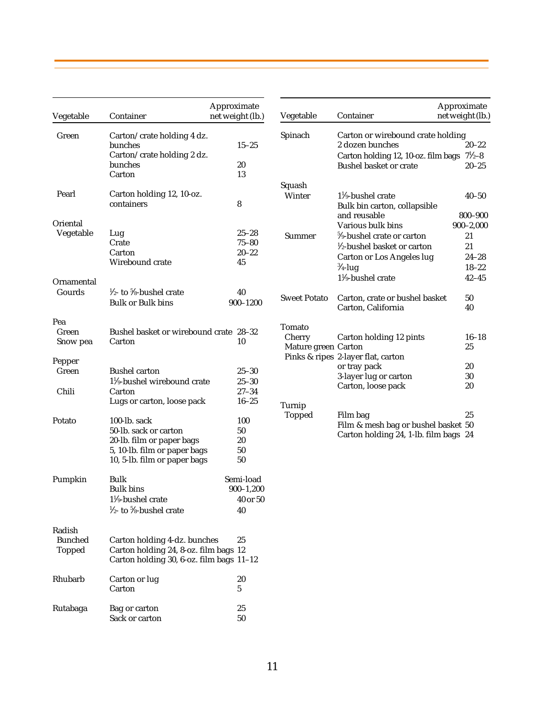| Vegetable                                 | Container                                                                                                                          | Approximate<br>net weight (lb.)              | Vegetable                     | Container                                                                                                      | Approximate<br>net weight (lb.) |
|-------------------------------------------|------------------------------------------------------------------------------------------------------------------------------------|----------------------------------------------|-------------------------------|----------------------------------------------------------------------------------------------------------------|---------------------------------|
| Green                                     | Carton/crate holding 4 dz.<br>bunches<br>Carton/crate holding 2 dz.                                                                | $15 - 25$                                    | Spinach                       | Carton or wirebound crate holding<br>2 dozen bunches<br>Carton holding 12, 10-oz. film bags $7\frac{1}{2}-8$   | $20 - 22$                       |
|                                           | bunches<br>Carton                                                                                                                  | 20<br>13                                     |                               | <b>Bushel basket or crate</b>                                                                                  | $20 - 25$                       |
| Pearl                                     | Carton holding 12, 10-oz.<br>containers                                                                                            | 8                                            | Squash<br>Winter              | $1\frac{1}{9}$ -bushel crate<br>Bulk bin carton, collapsible<br>and reusable                                   | $40 - 50$<br>800-900            |
| Oriental                                  |                                                                                                                                    |                                              |                               | Various bulk bins                                                                                              | $900 - 2,000$                   |
| Vegetable                                 | Lug<br>Crate<br>Carton<br>Wirebound crate                                                                                          | $25 - 28$<br>$75 - 80$<br>$20 - 22$<br>45    | Summer                        | 5/ <sub>9</sub> -bushel crate or carton<br>$\frac{1}{2}$ -bushel basket or carton<br>Carton or Los Angeles lug | 21<br>21<br>$24 - 28$           |
|                                           |                                                                                                                                    |                                              |                               | $\frac{3}{4}$ -lug                                                                                             | $18 - 22$                       |
| Ornamental                                |                                                                                                                                    |                                              |                               | $1\frac{1}{9}$ -bushel crate                                                                                   | $42 - 45$                       |
| Gourds                                    | $\frac{1}{2}$ - to $\frac{5}{8}$ -bushel crate<br><b>Bulk or Bulk bins</b>                                                         | 40<br>$900 - 1200$                           | <b>Sweet Potato</b>           | Carton, crate or bushel basket<br>Carton, California                                                           | 50<br>40                        |
| Pea                                       |                                                                                                                                    |                                              | Tomato                        |                                                                                                                |                                 |
| Green<br>Snow pea                         | Bushel basket or wirebound crate 28-32<br>Carton                                                                                   | 10                                           | Cherry<br>Mature green Carton | Carton holding 12 pints<br>Pinks & ripes 2-layer flat, carton                                                  | $16 - 18$<br>25                 |
| Pepper                                    |                                                                                                                                    |                                              |                               | or tray pack                                                                                                   | 20                              |
| Green                                     | <b>Bushel carton</b><br>$1\frac{1}{2}$ -bushel wirebound crate                                                                     | $25 - 30$<br>$25 - 30$                       |                               | 3-layer lug or carton<br>Carton, loose pack                                                                    | 30<br>20                        |
| Chili                                     | Carton<br>Lugs or carton, loose pack                                                                                               | $27 - 34$<br>$16 - 25$                       | Turnip                        |                                                                                                                |                                 |
| Potato                                    | 100-lb. sack<br>50-lb. sack or carton<br>20-lb. film or paper bags<br>5, 10-lb. film or paper bags<br>10, 5-lb. film or paper bags | 100<br>50<br>20<br>50<br>50                  | <b>Topped</b>                 | Film bag<br>Film & mesh bag or bushel basket 50<br>Carton holding 24, 1-lb. film bags 24                       | 25                              |
| Pumpkin                                   | Bulk<br><b>Bulk bins</b><br>$1\frac{1}{9}$ -bushel crate<br>$\frac{1}{2}$ - to $\frac{5}{8}$ -bushel crate                         | Semi-load<br>$900 - 1,200$<br>40 or 50<br>40 |                               |                                                                                                                |                                 |
| Radish<br><b>Bunched</b><br><b>Topped</b> | Carton holding 4-dz. bunches<br>Carton holding 24, 8-oz. film bags 12<br>Carton holding 30, 6-oz. film bags 11-12                  | 25                                           |                               |                                                                                                                |                                 |
| Rhubarb                                   | Carton or lug<br>Carton                                                                                                            | 20<br>5                                      |                               |                                                                                                                |                                 |
| Rutabaga                                  | Bag or carton<br>Sack or carton                                                                                                    | 25<br>50                                     |                               |                                                                                                                |                                 |